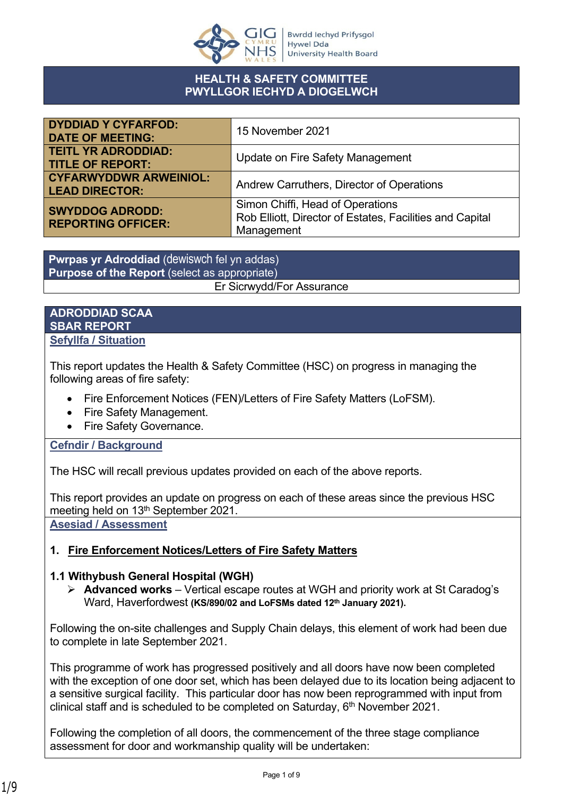

### **HEALTH & SAFETY COMMITTEE PWYLLGOR IECHYD A DIOGELWCH**

| <b>DYDDIAD Y CYFARFOD:</b><br><b>DATE OF MEETING:</b>  | 15 November 2021                                                                                           |
|--------------------------------------------------------|------------------------------------------------------------------------------------------------------------|
| <b>TEITL YR ADRODDIAD:</b><br><b>TITLE OF REPORT:</b>  | Update on Fire Safety Management                                                                           |
| <b>CYFARWYDDWR ARWEINIOL:</b><br><b>LEAD DIRECTOR:</b> | Andrew Carruthers, Director of Operations                                                                  |
| <b>SWYDDOG ADRODD:</b><br><b>REPORTING OFFICER:</b>    | Simon Chiffi, Head of Operations<br>Rob Elliott, Director of Estates, Facilities and Capital<br>Management |

**Pwrpas yr Adroddiad** (dewiswch fel yn addas) **Purpose of the Report** (select as appropriate)

#### Er Sicrwydd/For Assurance

#### **ADRODDIAD SCAA SBAR REPORT Sefyllfa / Situation**

This report updates the Health & Safety Committee (HSC) on progress in managing the following areas of fire safety:

- Fire Enforcement Notices (FEN)/Letters of Fire Safety Matters (LoFSM).
- Fire Safety Management.
- Fire Safety Governance.

## **Cefndir / Background**

The HSC will recall previous updates provided on each of the above reports.

This report provides an update on progress on each of these areas since the previous HSC meeting held on 13<sup>th</sup> September 2021.

**Asesiad / Assessment**

## **1. Fire Enforcement Notices/Letters of Fire Safety Matters**

## **1.1 Withybush General Hospital (WGH)**

 **Advanced works** – Vertical escape routes at WGH and priority work at St Caradog's Ward, Haverfordwest **(KS/890/02 and LoFSMs dated 12th January 2021).**

Following the on-site challenges and Supply Chain delays, this element of work had been due to complete in late September 2021.

This programme of work has progressed positively and all doors have now been completed with the exception of one door set, which has been delayed due to its location being adjacent to a sensitive surgical facility. This particular door has now been reprogrammed with input from clinical staff and is scheduled to be completed on Saturday, 6<sup>th</sup> November 2021.

Following the completion of all doors, the commencement of the three stage compliance assessment for door and workmanship quality will be undertaken: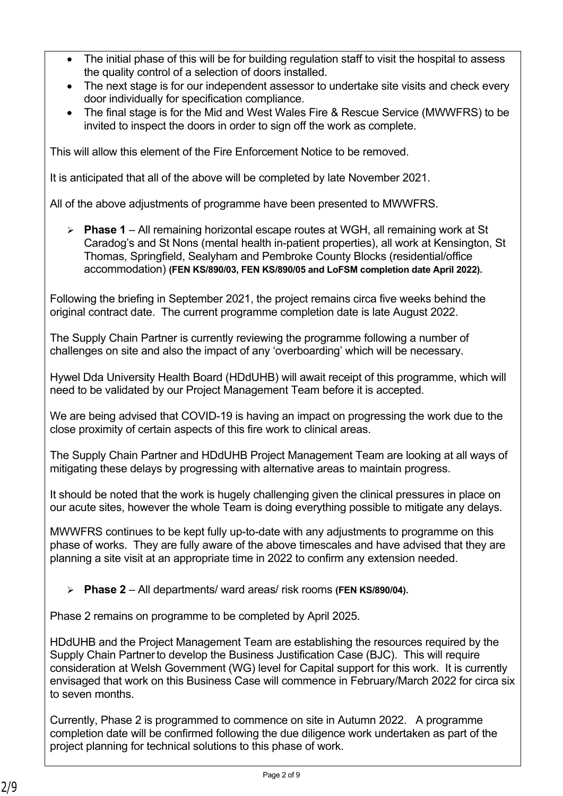- The initial phase of this will be for building regulation staff to visit the hospital to assess the quality control of a selection of doors installed.
- The next stage is for our independent assessor to undertake site visits and check every door individually for specification compliance.
- The final stage is for the Mid and West Wales Fire & Rescue Service (MWWFRS) to be invited to inspect the doors in order to sign off the work as complete.

This will allow this element of the Fire Enforcement Notice to be removed.

It is anticipated that all of the above will be completed by late November 2021.

All of the above adjustments of programme have been presented to MWWFRS.

 **Phase 1** – All remaining horizontal escape routes at WGH, all remaining work at St Caradog's and St Nons (mental health in-patient properties), all work at Kensington, St Thomas, Springfield, Sealyham and Pembroke County Blocks (residential/office accommodation) **(FEN KS/890/03, FEN KS/890/05 and LoFSM completion date April 2022).**

Following the briefing in September 2021, the project remains circa five weeks behind the original contract date. The current programme completion date is late August 2022.

The Supply Chain Partner is currently reviewing the programme following a number of challenges on site and also the impact of any 'overboarding' which will be necessary.

Hywel Dda University Health Board (HDdUHB) will await receipt of this programme, which will need to be validated by our Project Management Team before it is accepted.

We are being advised that COVID-19 is having an impact on progressing the work due to the close proximity of certain aspects of this fire work to clinical areas.

The Supply Chain Partner and HDdUHB Project Management Team are looking at all ways of mitigating these delays by progressing with alternative areas to maintain progress.

It should be noted that the work is hugely challenging given the clinical pressures in place on our acute sites, however the whole Team is doing everything possible to mitigate any delays.

MWWFRS continues to be kept fully up-to-date with any adjustments to programme on this phase of works. They are fully aware of the above timescales and have advised that they are planning a site visit at an appropriate time in 2022 to confirm any extension needed.

**Phase 2** – All departments/ ward areas/ risk rooms **(FEN KS/890/04).**

Phase 2 remains on programme to be completed by April 2025.

HDdUHB and the Project Management Team are establishing the resources required by the Supply Chain Partnerto develop the Business Justification Case (BJC). This will require consideration at Welsh Government (WG) level for Capital support for this work. It is currently envisaged that work on this Business Case will commence in February/March 2022 for circa six to seven months.

Currently, Phase 2 is programmed to commence on site in Autumn 2022. A programme completion date will be confirmed following the due diligence work undertaken as part of the project planning for technical solutions to this phase of work.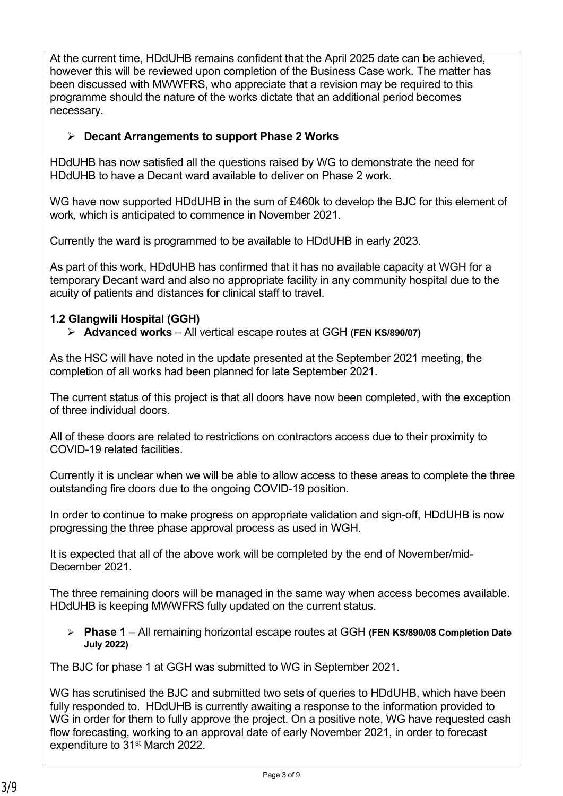At the current time, HDdUHB remains confident that the April 2025 date can be achieved, however this will be reviewed upon completion of the Business Case work. The matter has been discussed with MWWFRS, who appreciate that a revision may be required to this programme should the nature of the works dictate that an additional period becomes necessary.

## **Decant Arrangements to support Phase 2 Works**

HDdUHB has now satisfied all the questions raised by WG to demonstrate the need for HDdUHB to have a Decant ward available to deliver on Phase 2 work.

WG have now supported HDdUHB in the sum of £460k to develop the BJC for this element of work, which is anticipated to commence in November 2021.

Currently the ward is programmed to be available to HDdUHB in early 2023.

As part of this work, HDdUHB has confirmed that it has no available capacity at WGH for a temporary Decant ward and also no appropriate facility in any community hospital due to the acuity of patients and distances for clinical staff to travel.

## **1.2 Glangwili Hospital (GGH)**

**Advanced works** – All vertical escape routes at GGH **(FEN KS/890/07)**

As the HSC will have noted in the update presented at the September 2021 meeting, the completion of all works had been planned for late September 2021.

The current status of this project is that all doors have now been completed, with the exception of three individual doors.

All of these doors are related to restrictions on contractors access due to their proximity to COVID-19 related facilities.

Currently it is unclear when we will be able to allow access to these areas to complete the three outstanding fire doors due to the ongoing COVID-19 position.

In order to continue to make progress on appropriate validation and sign-off, HDdUHB is now progressing the three phase approval process as used in WGH.

It is expected that all of the above work will be completed by the end of November/mid-December 2021.

The three remaining doors will be managed in the same way when access becomes available. HDdUHB is keeping MWWFRS fully updated on the current status.

 **Phase 1** – All remaining horizontal escape routes at GGH **(FEN KS/890/08 Completion Date July 2022)**

The BJC for phase 1 at GGH was submitted to WG in September 2021.

WG has scrutinised the BJC and submitted two sets of queries to HDdUHB, which have been fully responded to. HDdUHB is currently awaiting a response to the information provided to WG in order for them to fully approve the project. On a positive note, WG have requested cash flow forecasting, working to an approval date of early November 2021, in order to forecast expenditure to 31<sup>st</sup> March 2022.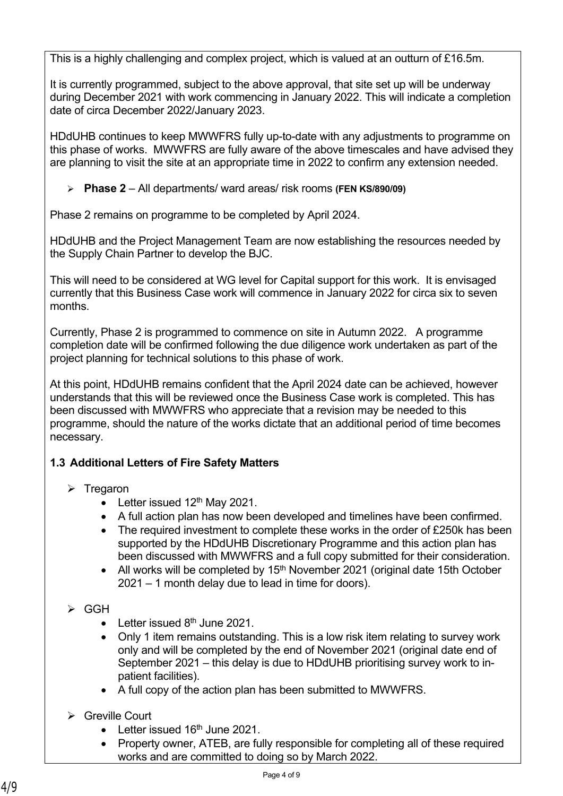This is a highly challenging and complex project, which is valued at an outturn of £16.5m.

It is currently programmed, subject to the above approval, that site set up will be underway during December 2021 with work commencing in January 2022. This will indicate a completion date of circa December 2022/January 2023.

HDdUHB continues to keep MWWFRS fully up-to-date with any adjustments to programme on this phase of works. MWWFRS are fully aware of the above timescales and have advised they are planning to visit the site at an appropriate time in 2022 to confirm any extension needed.

**Phase 2** – All departments/ ward areas/ risk rooms **(FEN KS/890/09)**

Phase 2 remains on programme to be completed by April 2024.

HDdUHB and the Project Management Team are now establishing the resources needed by the Supply Chain Partner to develop the BJC.

This will need to be considered at WG level for Capital support for this work. It is envisaged currently that this Business Case work will commence in January 2022 for circa six to seven months.

Currently, Phase 2 is programmed to commence on site in Autumn 2022. A programme completion date will be confirmed following the due diligence work undertaken as part of the project planning for technical solutions to this phase of work.

At this point, HDdUHB remains confident that the April 2024 date can be achieved, however understands that this will be reviewed once the Business Case work is completed. This has been discussed with MWWFRS who appreciate that a revision may be needed to this programme, should the nature of the works dictate that an additional period of time becomes necessary.

## **1.3 Additional Letters of Fire Safety Matters**

- $\triangleright$  Tregaron
	- Letter issued  $12<sup>th</sup>$  May 2021.
	- A full action plan has now been developed and timelines have been confirmed.
	- The required investment to complete these works in the order of £250k has been supported by the HDdUHB Discretionary Programme and this action plan has been discussed with MWWFRS and a full copy submitted for their consideration.
	- All works will be completed by 15<sup>th</sup> November 2021 (original date 15th October 2021 – 1 month delay due to lead in time for doors).
- $\triangleright$  GGH
	- Letter issued  $8<sup>th</sup>$  June 2021.
	- Only 1 item remains outstanding. This is a low risk item relating to survey work only and will be completed by the end of November 2021 (original date end of September 2021 – this delay is due to HDdUHB prioritising survey work to inpatient facilities).
	- A full copy of the action plan has been submitted to MWWFRS.
- **▶ Greville Court** 
	- Letter issued 16<sup>th</sup> June 2021.
	- Property owner, ATEB, are fully responsible for completing all of these required works and are committed to doing so by March 2022.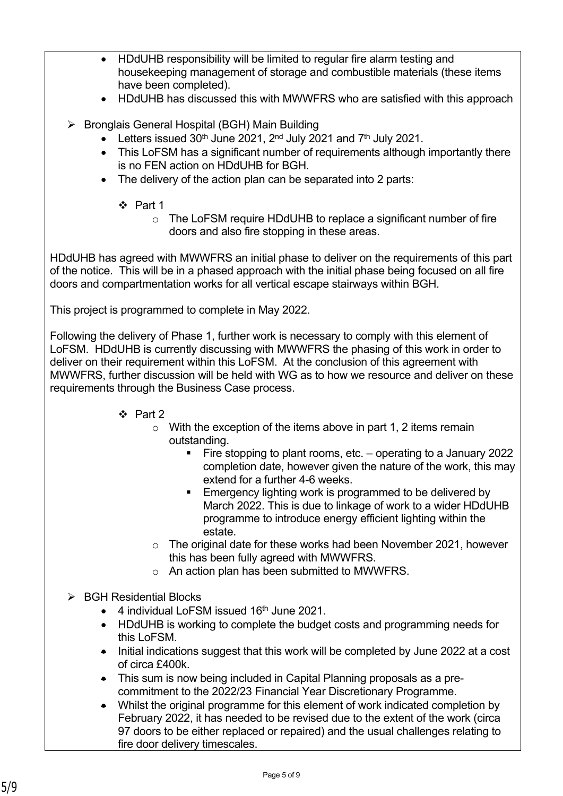- HDdUHB responsibility will be limited to regular fire alarm testing and housekeeping management of storage and combustible materials (these items have been completed).
- HDdUHB has discussed this with MWWFRS who are satisfied with this approach
- $\triangleright$  Bronglais General Hospital (BGH) Main Building
	- Eletters issued  $30<sup>th</sup>$  June 2021,  $2<sup>nd</sup>$  July 2021 and  $7<sup>th</sup>$  July 2021.
	- This LoFSM has a significant number of requirements although importantly there is no FEN action on HDdUHB for BGH.
	- The delivery of the action plan can be separated into 2 parts:
		- Part 1
			- o The LoFSM require HDdUHB to replace a significant number of fire doors and also fire stopping in these areas.

HDdUHB has agreed with MWWFRS an initial phase to deliver on the requirements of this part of the notice. This will be in a phased approach with the initial phase being focused on all fire doors and compartmentation works for all vertical escape stairways within BGH.

This project is programmed to complete in May 2022.

Following the delivery of Phase 1, further work is necessary to comply with this element of LoFSM. HDdUHB is currently discussing with MWWFRS the phasing of this work in order to deliver on their requirement within this LoFSM. At the conclusion of this agreement with MWWFRS, further discussion will be held with WG as to how we resource and deliver on these requirements through the Business Case process.

- $\div$  Part 2
	- $\circ$  With the exception of the items above in part 1, 2 items remain outstanding.
		- Fire stopping to plant rooms, etc. operating to a January 2022 completion date, however given the nature of the work, this may extend for a further 4-6 weeks.
		- **Emergency lighting work is programmed to be delivered by** March 2022. This is due to linkage of work to a wider HDdUHB programme to introduce energy efficient lighting within the estate.
	- o The original date for these works had been November 2021, however this has been fully agreed with MWWFRS.
	- o An action plan has been submitted to MWWFRS.
- $\triangleright$  BGH Residential Blocks
	- 4 individual LoFSM issued 16<sup>th</sup> June 2021.
	- HDdUHB is working to complete the budget costs and programming needs for this LoFSM.
	- Initial indications suggest that this work will be completed by June 2022 at a cost of circa £400k.
	- This sum is now being included in Capital Planning proposals as a precommitment to the 2022/23 Financial Year Discretionary Programme.
	- Whilst the original programme for this element of work indicated completion by February 2022, it has needed to be revised due to the extent of the work (circa 97 doors to be either replaced or repaired) and the usual challenges relating to fire door delivery timescales.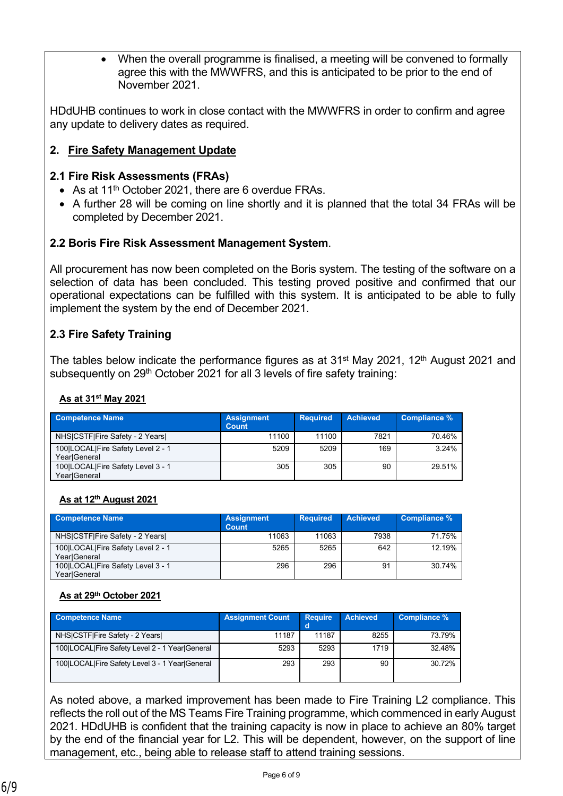When the overall programme is finalised, a meeting will be convened to formally agree this with the MWWFRS, and this is anticipated to be prior to the end of November 2021.

HDdUHB continues to work in close contact with the MWWFRS in order to confirm and agree any update to delivery dates as required.

### **2. Fire Safety Management Update**

### **2.1 Fire Risk Assessments (FRAs)**

- As at  $11<sup>th</sup>$  October 2021, there are 6 overdue FRAs.
- A further 28 will be coming on line shortly and it is planned that the total 34 FRAs will be completed by December 2021.

### **2.2 Boris Fire Risk Assessment Management System**.

All procurement has now been completed on the Boris system. The testing of the software on a selection of data has been concluded. This testing proved positive and confirmed that our operational expectations can be fulfilled with this system. It is anticipated to be able to fully implement the system by the end of December 2021.

### **2.3 Fire Safety Training**

The tables below indicate the performance figures as at 31<sup>st</sup> May 2021, 12<sup>th</sup> August 2021 and subsequently on 29<sup>th</sup> October 2021 for all 3 levels of fire safety training:

#### **As at 31st May 2021**

| <b>Competence Name</b>                            | <b>Assignment</b><br>Count | <b>Required</b> | <b>Achieved</b> | Compliance % |
|---------------------------------------------------|----------------------------|-----------------|-----------------|--------------|
| NHS CSTF Fire Safety - 2 Years                    | 11100                      | 11100           | 7821            | 70.46%       |
| 100 LOCAL Fire Safety Level 2 - 1<br>YearlGeneral | 5209                       | 5209            | 169             | $3.24\%$     |
| 100 LOCAL Fire Safety Level 3 - 1<br>Year General | 305                        | 305             | 90              | 29.51%       |

#### **As at 12th August 2021**

| <b>Competence Name</b>                            | <b>Assignment</b><br><b>Count</b> | <b>Required</b> | <b>Achieved</b> | Compliance % |
|---------------------------------------------------|-----------------------------------|-----------------|-----------------|--------------|
| NHSICSTFIFire Safety - 2 Years                    | 11063                             | 11063           | 7938            | 71.75%       |
| 100 LOCAL Fire Safety Level 2 - 1<br>YearlGeneral | 5265                              | 5265            | 642             | 12.19%       |
| 100 LOCAL Fire Safety Level 3 - 1<br>YearlGeneral | 296                               | 296             | 91              | 30.74%       |

### **As at 29th October 2021**

| <b>Competence Name</b>                         | <b>Assignment Count</b> | <b>Require</b> | <b>Achieved</b> | Compliance % |
|------------------------------------------------|-------------------------|----------------|-----------------|--------------|
| NHSICSTFIFire Safety - 2 Years                 | 11187                   | 11187          | 8255            | 73.79%       |
| 100 LOCAL Fire Safety Level 2 - 1 Year General | 5293                    | 5293           | 1719            | 32.48%       |
| 100 LOCAL Fire Safety Level 3 - 1 Year General | 293                     | 293            | 90              | 30.72%       |

As noted above, a marked improvement has been made to Fire Training L2 compliance. This reflects the roll out of the MS Teams Fire Training programme, which commenced in early August 2021. HDdUHB is confident that the training capacity is now in place to achieve an 80% target by the end of the financial year for L2. This will be dependent, however, on the support of line management, etc., being able to release staff to attend training sessions.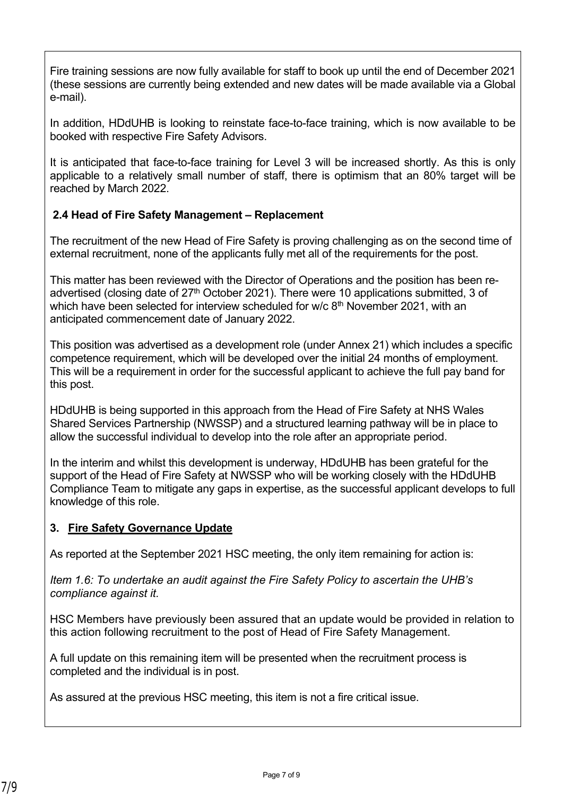Fire training sessions are now fully available for staff to book up until the end of December 2021 (these sessions are currently being extended and new dates will be made available via a Global e-mail).

In addition, HDdUHB is looking to reinstate face-to-face training, which is now available to be booked with respective Fire Safety Advisors.

It is anticipated that face-to-face training for Level 3 will be increased shortly. As this is only applicable to a relatively small number of staff, there is optimism that an 80% target will be reached by March 2022.

## **1. 2.4 Head of Fire Safety Management – Replacement**

The recruitment of the new Head of Fire Safety is proving challenging as on the second time of external recruitment, none of the applicants fully met all of the requirements for the post.

This matter has been reviewed with the Director of Operations and the position has been readvertised (closing date of 27<sup>th</sup> October 2021). There were 10 applications submitted, 3 of which have been selected for interview scheduled for  $w/c$  8<sup>th</sup> November 2021, with an anticipated commencement date of January 2022.

This position was advertised as a development role (under Annex 21) which includes a specific competence requirement, which will be developed over the initial 24 months of employment. This will be a requirement in order for the successful applicant to achieve the full pay band for this post.

HDdUHB is being supported in this approach from the Head of Fire Safety at NHS Wales Shared Services Partnership (NWSSP) and a structured learning pathway will be in place to allow the successful individual to develop into the role after an appropriate period.

In the interim and whilst this development is underway, HDdUHB has been grateful for the support of the Head of Fire Safety at NWSSP who will be working closely with the HDdUHB Compliance Team to mitigate any gaps in expertise, as the successful applicant develops to full knowledge of this role.

### **3. Fire Safety Governance Update**

As reported at the September 2021 HSC meeting, the only item remaining for action is:

*Item 1.6: To undertake an audit against the Fire Safety Policy to ascertain the UHB's compliance against it.*

HSC Members have previously been assured that an update would be provided in relation to this action following recruitment to the post of Head of Fire Safety Management.

A full update on this remaining item will be presented when the recruitment process is completed and the individual is in post.

As assured at the previous HSC meeting, this item is not a fire critical issue.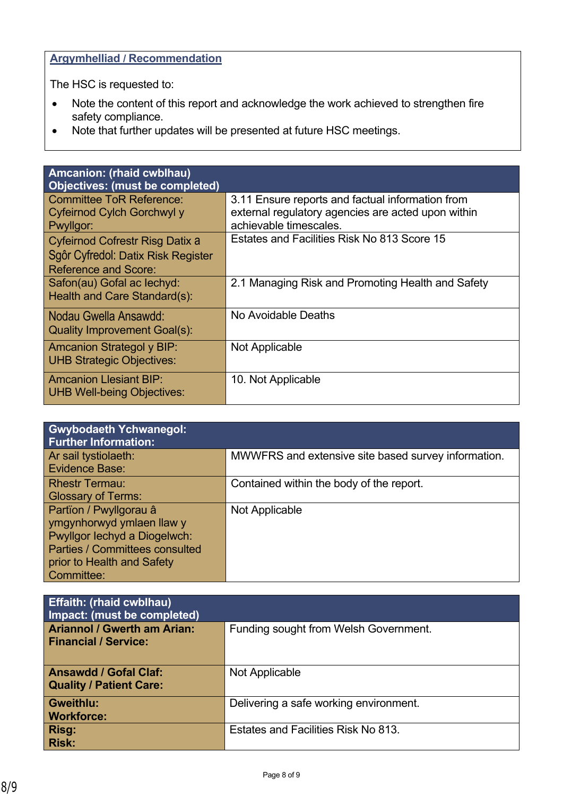# **Argymhelliad / Recommendation**

The HSC is requested to:

- Note the content of this report and acknowledge the work achieved to strengthen fire safety compliance.
- Note that further updates will be presented at future HSC meetings.

| <b>Amcanion: (rhaid cwblhau)</b><br><b>Objectives: (must be completed)</b> |                                                                                                        |
|----------------------------------------------------------------------------|--------------------------------------------------------------------------------------------------------|
| <b>Committee ToR Reference:</b><br>Cyfeirnod Cylch Gorchwyl y              | 3.11 Ensure reports and factual information from<br>external regulatory agencies are acted upon within |
| Pwyllgor:                                                                  | achievable timescales.                                                                                 |
| <b>Cyfeirnod Cofrestr Risg Datix a</b>                                     | Estates and Facilities Risk No 813 Score 15                                                            |
| Sgôr Cyfredol: Datix Risk Register<br><b>Reference and Score:</b>          |                                                                                                        |
| Safon(au) Gofal ac lechyd:<br>Health and Care Standard(s):                 | 2.1 Managing Risk and Promoting Health and Safety                                                      |
| Nodau Gwella Ansawdd:<br>Quality Improvement Goal(s):                      | No Avoidable Deaths                                                                                    |
|                                                                            | Not Applicable                                                                                         |
| <b>Amcanion Strategol y BIP:</b><br><b>UHB Strategic Objectives:</b>       |                                                                                                        |
| <b>Amcanion Llesiant BIP:</b><br><b>UHB Well-being Objectives:</b>         | 10. Not Applicable                                                                                     |
|                                                                            |                                                                                                        |

| <b>Gwybodaeth Ychwanegol:</b><br><b>Further Information:</b>                                                                                                             |                                                     |
|--------------------------------------------------------------------------------------------------------------------------------------------------------------------------|-----------------------------------------------------|
| Ar sail tystiolaeth:<br>Evidence Base:                                                                                                                                   | MWWFRS and extensive site based survey information. |
| <b>Rhestr Termau:</b><br><b>Glossary of Terms:</b>                                                                                                                       | Contained within the body of the report.            |
| Partïon / Pwyllgorau â<br>ymgynhorwyd ymlaen llaw y<br>Pwyllgor lechyd a Diogelwch:<br><b>Parties / Committees consulted</b><br>prior to Health and Safety<br>Committee: | Not Applicable                                      |

| <b>Effaith: (rhaid cwblhau)</b><br>Impact: (must be completed)    |                                        |
|-------------------------------------------------------------------|----------------------------------------|
| <b>Ariannol / Gwerth am Arian:</b><br><b>Financial / Service:</b> | Funding sought from Welsh Government.  |
| <b>Ansawdd / Gofal Claf:</b><br>Quality / Patient Care:           | Not Applicable                         |
| <b>Gweithlu:</b><br><b>Workforce:</b>                             | Delivering a safe working environment. |
| <b>Risg:</b><br><b>Risk:</b>                                      | Estates and Facilities Risk No 813.    |